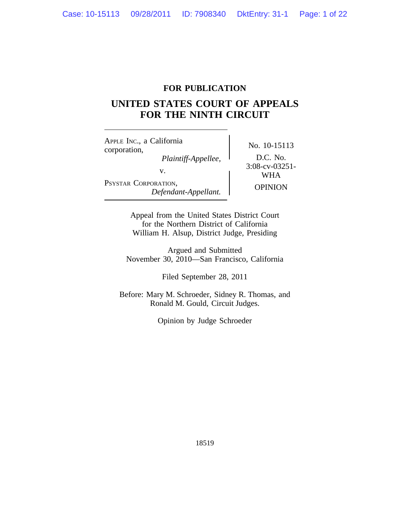# **FOR PUBLICATION**

# **UNITED STATES COURT OF APPEALS FOR THE NINTH CIRCUIT**

<sup>A</sup>PPLE INC., a California No. 10-15113<br>
corporation,<br> *Plaintiff-Appellee.* D.C. No. *Plaintiff-Appellee,*<br>
v. 3:08-cv-03251-<br>
WHA v.  $\begin{array}{c} \text{y.} \text{y.} \text{y.} \text{y.} \text{y.} \text{y.} \text{y.} \text{y.} \text{y.} \text{y.} \text{y.} \text{y.} \text{y.} \text{y.} \text{y.} \text{y.} \text{y.} \text{y.} \text{y.} \text{y.} \text{y.} \text{y.} \text{y.} \text{y.} \text{y.} \text{y.} \text{y.} \text{y.} \text{y.} \text{y.} \text{y.} \text{y.} \text{y.} \text{y.} \text{y.}$ PSYSTAR CORPORATION, ORATION,<br>Defendant-Appellant. **Defendant-**

Appeal from the United States District Court for the Northern District of California William H. Alsup, District Judge, Presiding

Argued and Submitted November 30, 2010—San Francisco, California

Filed September 28, 2011

Before: Mary M. Schroeder, Sidney R. Thomas, and Ronald M. Gould, Circuit Judges.

Opinion by Judge Schroeder

18519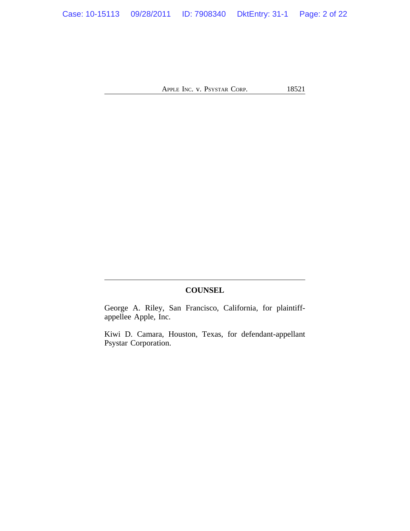# **COUNSEL**

George A. Riley, San Francisco, California, for plaintiffappellee Apple, Inc.

Kiwi D. Camara, Houston, Texas, for defendant-appellant Psystar Corporation.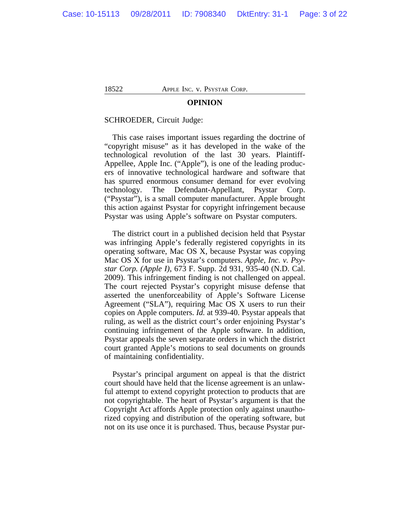#### **OPINION**

#### SCHROEDER, Circuit Judge:

This case raises important issues regarding the doctrine of "copyright misuse" as it has developed in the wake of the technological revolution of the last 30 years. Plaintiff-Appellee, Apple Inc. ("Apple"), is one of the leading producers of innovative technological hardware and software that has spurred enormous consumer demand for ever evolving technology. The Defendant-Appellant, Psystar Corp. ("Psystar"), is a small computer manufacturer. Apple brought this action against Psystar for copyright infringement because Psystar was using Apple's software on Psystar computers.

The district court in a published decision held that Psystar was infringing Apple's federally registered copyrights in its operating software, Mac OS X, because Psystar was copying Mac OS X for use in Psystar's computers. *Apple, Inc. v. Psystar Corp. (Apple I)*, 673 F. Supp. 2d 931, 935-40 (N.D. Cal. 2009). This infringement finding is not challenged on appeal. The court rejected Psystar's copyright misuse defense that asserted the unenforceability of Apple's Software License Agreement ("SLA"), requiring Mac OS X users to run their copies on Apple computers. *Id.* at 939-40. Psystar appeals that ruling, as well as the district court's order enjoining Psystar's continuing infringement of the Apple software. In addition, Psystar appeals the seven separate orders in which the district court granted Apple's motions to seal documents on grounds of maintaining confidentiality.

Psystar's principal argument on appeal is that the district court should have held that the license agreement is an unlawful attempt to extend copyright protection to products that are not copyrightable. The heart of Psystar's argument is that the Copyright Act affords Apple protection only against unauthorized copying and distribution of the operating software, but not on its use once it is purchased. Thus, because Psystar pur-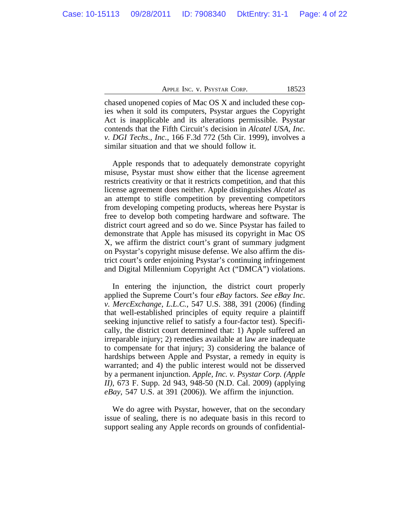chased unopened copies of Mac OS X and included these copies when it sold its computers, Psystar argues the Copyright Act is inapplicable and its alterations permissible. Psystar contends that the Fifth Circuit's decision in *Alcatel USA, Inc. v. DGI Techs., Inc.*, 166 F.3d 772 (5th Cir. 1999), involves a similar situation and that we should follow it.

Apple responds that to adequately demonstrate copyright misuse, Psystar must show either that the license agreement restricts creativity or that it restricts competition, and that this license agreement does neither. Apple distinguishes *Alcatel* as an attempt to stifle competition by preventing competitors from developing competing products, whereas here Psystar is free to develop both competing hardware and software. The district court agreed and so do we. Since Psystar has failed to demonstrate that Apple has misused its copyright in Mac OS X, we affirm the district court's grant of summary judgment on Psystar's copyright misuse defense. We also affirm the district court's order enjoining Psystar's continuing infringement and Digital Millennium Copyright Act ("DMCA") violations.

In entering the injunction, the district court properly applied the Supreme Court's four *eBay* factors. *See eBay Inc. v. MercExchange, L.L.C.*, 547 U.S. 388, 391 (2006) (finding that well-established principles of equity require a plaintiff seeking injunctive relief to satisfy a four-factor test). Specifically, the district court determined that: 1) Apple suffered an irreparable injury; 2) remedies available at law are inadequate to compensate for that injury; 3) considering the balance of hardships between Apple and Psystar, a remedy in equity is warranted; and 4) the public interest would not be disserved by a permanent injunction. *Apple, Inc. v. Psystar Corp. (Apple II)*, 673 F. Supp. 2d 943, 948-50 (N.D. Cal. 2009) (applying *eBay*, 547 U.S. at 391 (2006)). We affirm the injunction.

We do agree with Psystar, however, that on the secondary issue of sealing, there is no adequate basis in this record to support sealing any Apple records on grounds of confidential-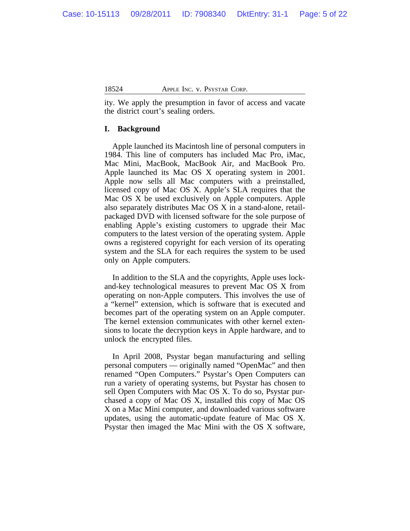ity. We apply the presumption in favor of access and vacate the district court's sealing orders.

### **I. Background**

Apple launched its Macintosh line of personal computers in 1984. This line of computers has included Mac Pro, iMac, Mac Mini, MacBook, MacBook Air, and MacBook Pro. Apple launched its Mac OS X operating system in 2001. Apple now sells all Mac computers with a preinstalled, licensed copy of Mac OS X. Apple's SLA requires that the Mac OS X be used exclusively on Apple computers. Apple also separately distributes Mac OS X in a stand-alone, retailpackaged DVD with licensed software for the sole purpose of enabling Apple's existing customers to upgrade their Mac computers to the latest version of the operating system. Apple owns a registered copyright for each version of its operating system and the SLA for each requires the system to be used only on Apple computers.

In addition to the SLA and the copyrights, Apple uses lockand-key technological measures to prevent Mac OS X from operating on non-Apple computers. This involves the use of a "kernel" extension, which is software that is executed and becomes part of the operating system on an Apple computer. The kernel extension communicates with other kernel extensions to locate the decryption keys in Apple hardware, and to unlock the encrypted files.

In April 2008, Psystar began manufacturing and selling personal computers — originally named "OpenMac" and then renamed "Open Computers." Psystar's Open Computers can run a variety of operating systems, but Psystar has chosen to sell Open Computers with Mac OS X. To do so, Psystar purchased a copy of Mac OS X, installed this copy of Mac OS X on a Mac Mini computer, and downloaded various software updates, using the automatic-update feature of Mac OS X. Psystar then imaged the Mac Mini with the OS X software,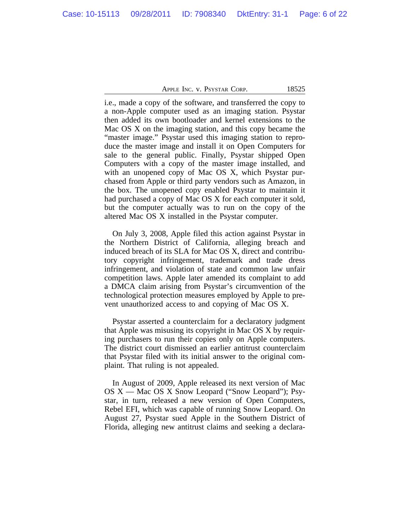i.e., made a copy of the software, and transferred the copy to a non-Apple computer used as an imaging station. Psystar then added its own bootloader and kernel extensions to the Mac OS X on the imaging station, and this copy became the "master image." Psystar used this imaging station to reproduce the master image and install it on Open Computers for sale to the general public. Finally, Psystar shipped Open Computers with a copy of the master image installed, and with an unopened copy of Mac OS X, which Psystar purchased from Apple or third party vendors such as Amazon, in the box. The unopened copy enabled Psystar to maintain it had purchased a copy of Mac OS X for each computer it sold, but the computer actually was to run on the copy of the altered Mac OS X installed in the Psystar computer.

On July 3, 2008, Apple filed this action against Psystar in the Northern District of California, alleging breach and induced breach of its SLA for Mac OS X, direct and contributory copyright infringement, trademark and trade dress infringement, and violation of state and common law unfair competition laws. Apple later amended its complaint to add a DMCA claim arising from Psystar's circumvention of the technological protection measures employed by Apple to prevent unauthorized access to and copying of Mac OS X.

Psystar asserted a counterclaim for a declaratory judgment that Apple was misusing its copyright in Mac OS X by requiring purchasers to run their copies only on Apple computers. The district court dismissed an earlier antitrust counterclaim that Psystar filed with its initial answer to the original complaint. That ruling is not appealed.

In August of 2009, Apple released its next version of Mac OS X — Mac OS X Snow Leopard ("Snow Leopard"); Psystar, in turn, released a new version of Open Computers, Rebel EFI, which was capable of running Snow Leopard. On August 27, Psystar sued Apple in the Southern District of Florida, alleging new antitrust claims and seeking a declara-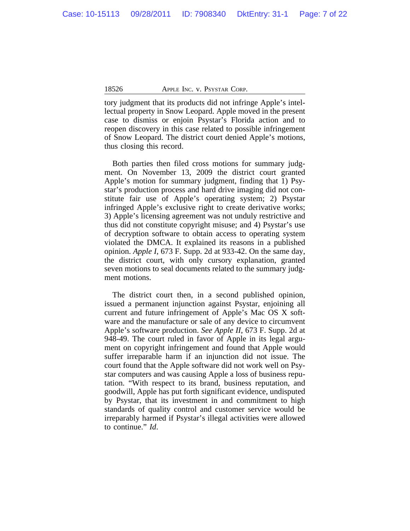tory judgment that its products did not infringe Apple's intellectual property in Snow Leopard. Apple moved in the present case to dismiss or enjoin Psystar's Florida action and to reopen discovery in this case related to possible infringement of Snow Leopard. The district court denied Apple's motions, thus closing this record.

Both parties then filed cross motions for summary judgment. On November 13, 2009 the district court granted Apple's motion for summary judgment, finding that 1) Psystar's production process and hard drive imaging did not constitute fair use of Apple's operating system; 2) Psystar infringed Apple's exclusive right to create derivative works; 3) Apple's licensing agreement was not unduly restrictive and thus did not constitute copyright misuse; and 4) Psystar's use of decryption software to obtain access to operating system violated the DMCA. It explained its reasons in a published opinion. *Apple I*, 673 F. Supp. 2d at 933-42. On the same day, the district court, with only cursory explanation, granted seven motions to seal documents related to the summary judgment motions.

The district court then, in a second published opinion, issued a permanent injunction against Psystar, enjoining all current and future infringement of Apple's Mac OS X software and the manufacture or sale of any device to circumvent Apple's software production. *See Apple II*, 673 F. Supp. 2d at 948-49. The court ruled in favor of Apple in its legal argument on copyright infringement and found that Apple would suffer irreparable harm if an injunction did not issue. The court found that the Apple software did not work well on Psystar computers and was causing Apple a loss of business reputation. "With respect to its brand, business reputation, and goodwill, Apple has put forth significant evidence, undisputed by Psystar, that its investment in and commitment to high standards of quality control and customer service would be irreparably harmed if Psystar's illegal activities were allowed to continue." *Id*.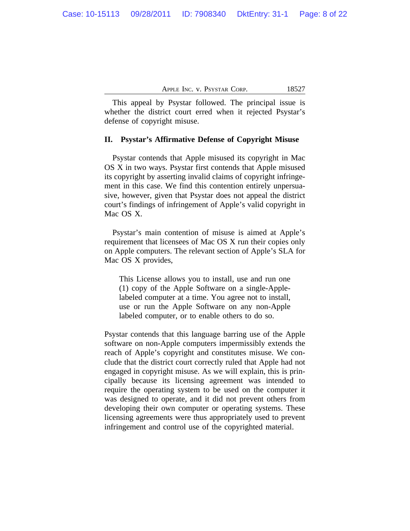This appeal by Psystar followed. The principal issue is whether the district court erred when it rejected Psystar's defense of copyright misuse.

### **II. Psystar's Affirmative Defense of Copyright Misuse**

Psystar contends that Apple misused its copyright in Mac OS X in two ways. Psystar first contends that Apple misused its copyright by asserting invalid claims of copyright infringement in this case. We find this contention entirely unpersuasive, however, given that Psystar does not appeal the district court's findings of infringement of Apple's valid copyright in Mac OS X.

Psystar's main contention of misuse is aimed at Apple's requirement that licensees of Mac OS X run their copies only on Apple computers. The relevant section of Apple's SLA for Mac OS X provides,

This License allows you to install, use and run one (1) copy of the Apple Software on a single-Applelabeled computer at a time. You agree not to install, use or run the Apple Software on any non-Apple labeled computer, or to enable others to do so.

Psystar contends that this language barring use of the Apple software on non-Apple computers impermissibly extends the reach of Apple's copyright and constitutes misuse. We conclude that the district court correctly ruled that Apple had not engaged in copyright misuse. As we will explain, this is principally because its licensing agreement was intended to require the operating system to be used on the computer it was designed to operate, and it did not prevent others from developing their own computer or operating systems. These licensing agreements were thus appropriately used to prevent infringement and control use of the copyrighted material.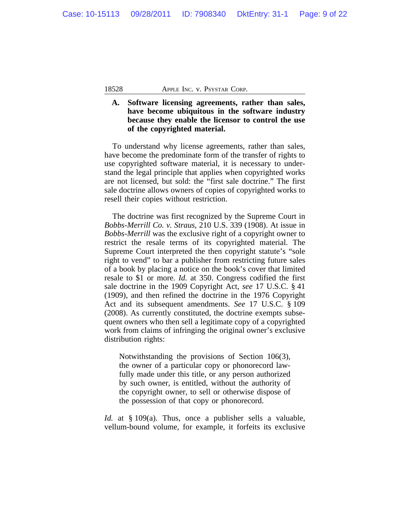### **A. Software licensing agreements, rather than sales, have become ubiquitous in the software industry because they enable the licensor to control the use of the copyrighted material.**

To understand why license agreements, rather than sales, have become the predominate form of the transfer of rights to use copyrighted software material, it is necessary to understand the legal principle that applies when copyrighted works are not licensed, but sold: the "first sale doctrine." The first sale doctrine allows owners of copies of copyrighted works to resell their copies without restriction.

The doctrine was first recognized by the Supreme Court in *Bobbs-Merrill Co. v. Straus*, 210 U.S. 339 (1908). At issue in *Bobbs-Merrill* was the exclusive right of a copyright owner to restrict the resale terms of its copyrighted material. The Supreme Court interpreted the then copyright statute's "sole right to vend" to bar a publisher from restricting future sales of a book by placing a notice on the book's cover that limited resale to \$1 or more. *Id.* at 350. Congress codified the first sale doctrine in the 1909 Copyright Act, *see* 17 U.S.C. § 41 (1909), and then refined the doctrine in the 1976 Copyright Act and its subsequent amendments. *See* 17 U.S.C. § 109 (2008). As currently constituted, the doctrine exempts subsequent owners who then sell a legitimate copy of a copyrighted work from claims of infringing the original owner's exclusive distribution rights:

Notwithstanding the provisions of Section 106(3), the owner of a particular copy or phonorecord lawfully made under this title, or any person authorized by such owner, is entitled, without the authority of the copyright owner, to sell or otherwise dispose of the possession of that copy or phonorecord.

*Id.* at § 109(a). Thus, once a publisher sells a valuable, vellum-bound volume, for example, it forfeits its exclusive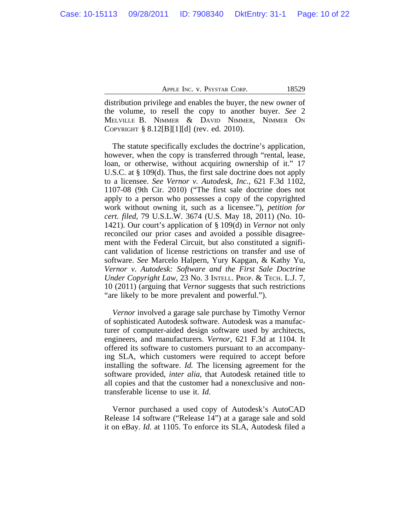distribution privilege and enables the buyer, the new owner of the volume, to resell the copy to another buyer. *See* 2 MELVILLE B. NIMMER & DAVID NIMMER, NIMMER ON COPYRIGHT § 8.12[B][1][d] (rev. ed. 2010).

The statute specifically excludes the doctrine's application, however, when the copy is transferred through "rental, lease, loan, or otherwise, without acquiring ownership of it." 17 U.S.C. at § 109(d). Thus, the first sale doctrine does not apply to a licensee. *See Vernor v. Autodesk, Inc.*, 621 F.3d 1102, 1107-08 (9th Cir. 2010) ("The first sale doctrine does not apply to a person who possesses a copy of the copyrighted work without owning it, such as a licensee."), *petition for cert. filed*, 79 U.S.L.W. 3674 (U.S. May 18, 2011) (No. 10- 1421). Our court's application of § 109(d) in *Vernor* not only reconciled our prior cases and avoided a possible disagreement with the Federal Circuit, but also constituted a significant validation of license restrictions on transfer and use of software. *See* Marcelo Halpern, Yury Kapgan, & Kathy Yu, *Vernor v. Autodesk: Software and the First Sale Doctrine Under Copyright Law*, 23 No. 3 INTELL. PROP. & TECH. L.J. 7, 10 (2011) (arguing that *Vernor* suggests that such restrictions "are likely to be more prevalent and powerful.").

*Vernor* involved a garage sale purchase by Timothy Vernor of sophisticated Autodesk software. Autodesk was a manufacturer of computer-aided design software used by architects, engineers, and manufacturers. *Vernor*, 621 F.3d at 1104. It offered its software to customers pursuant to an accompanying SLA, which customers were required to accept before installing the software. *Id.* The licensing agreement for the software provided, *inter alia*, that Autodesk retained title to all copies and that the customer had a nonexclusive and nontransferable license to use it. *Id.* 

Vernor purchased a used copy of Autodesk's AutoCAD Release 14 software ("Release 14") at a garage sale and sold it on eBay. *Id.* at 1105. To enforce its SLA, Autodesk filed a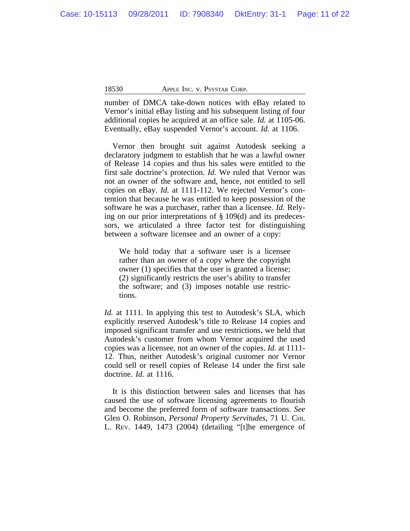number of DMCA take-down notices with eBay related to Vernor's initial eBay listing and his subsequent listing of four additional copies he acquired at an office sale. *Id.* at 1105-06. Eventually, eBay suspended Vernor's account. *Id.* at 1106.

Vernor then brought suit against Autodesk seeking a declaratory judgment to establish that he was a lawful owner of Release 14 copies and thus his sales were entitled to the first sale doctrine's protection. *Id.* We ruled that Vernor was not an owner of the software and, hence, not entitled to sell copies on eBay. *Id.* at 1111-112. We rejected Vernor's contention that because he was entitled to keep possession of the software he was a purchaser, rather than a licensee. *Id.* Relying on our prior interpretations of § 109(d) and its predecessors, we articulated a three factor test for distinguishing between a software licensee and an owner of a copy:

We hold today that a software user is a licensee rather than an owner of a copy where the copyright owner (1) specifies that the user is granted a license; (2) significantly restricts the user's ability to transfer the software; and (3) imposes notable use restrictions.

*Id.* at 1111. In applying this test to Autodesk's SLA, which explicitly reserved Autodesk's title to Release 14 copies and imposed significant transfer and use restrictions, we held that Autodesk's customer from whom Vernor acquired the used copies was a licensee, not an owner of the copies. *Id.* at 1111- 12. Thus, neither Autodesk's original customer nor Vernor could sell or resell copies of Release 14 under the first sale doctrine. *Id.* at 1116.

It is this distinction between sales and licenses that has caused the use of software licensing agreements to flourish and become the preferred form of software transactions. *See* Glen O. Robinson, *Personal Property Servitudes*, 71 U. CHI. L. REV. 1449, 1473 (2004) (detailing "[t]he emergence of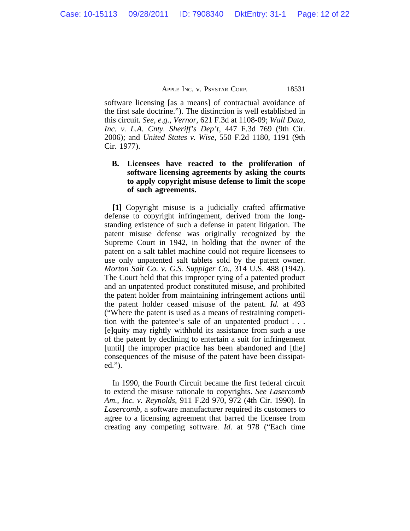software licensing [as a means] of contractual avoidance of the first sale doctrine."). The distinction is well established in this circuit. *See, e.g.*, *Vernor*, 621 F.3d at 1108-09; *Wall Data, Inc. v. L.A. Cnty. Sheriff's Dep't*, 447 F.3d 769 (9th Cir. 2006); and *United States v. Wise*, 550 F.2d 1180, 1191 (9th Cir. 1977).

### **B. Licensees have reacted to the proliferation of software licensing agreements by asking the courts to apply copyright misuse defense to limit the scope of such agreements.**

**[1]** Copyright misuse is a judicially crafted affirmative defense to copyright infringement, derived from the longstanding existence of such a defense in patent litigation. The patent misuse defense was originally recognized by the Supreme Court in 1942, in holding that the owner of the patent on a salt tablet machine could not require licensees to use only unpatented salt tablets sold by the patent owner. *Morton Salt Co. v. G.S. Suppiger Co.*, 314 U.S. 488 (1942). The Court held that this improper tying of a patented product and an unpatented product constituted misuse, and prohibited the patent holder from maintaining infringement actions until the patent holder ceased misuse of the patent. *Id.* at 493 ("Where the patent is used as a means of restraining competition with the patentee's sale of an unpatented product . . . [e]quity may rightly withhold its assistance from such a use of the patent by declining to entertain a suit for infringement [until] the improper practice has been abandoned and [the] consequences of the misuse of the patent have been dissipated.").

In 1990, the Fourth Circuit became the first federal circuit to extend the misuse rationale to copyrights. *See Lasercomb Am., Inc. v. Reynolds*, 911 F.2d 970, 972 (4th Cir. 1990). In *Lasercomb*, a software manufacturer required its customers to agree to a licensing agreement that barred the licensee from creating any competing software. *Id.* at 978 ("Each time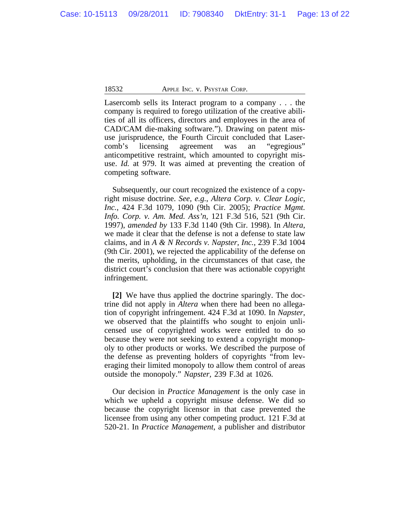Lasercomb sells its Interact program to a company . . . the company is required to forego utilization of the creative abilities of all its officers, directors and employees in the area of CAD/CAM die-making software."). Drawing on patent misuse jurisprudence, the Fourth Circuit concluded that Lasercomb's licensing agreement was an "egregious" anticompetitive restraint, which amounted to copyright misuse. *Id.* at 979. It was aimed at preventing the creation of competing software.

Subsequently, our court recognized the existence of a copyright misuse doctrine. *See, e.g.*, *Altera Corp. v. Clear Logic, Inc.*, 424 F.3d 1079, 1090 (9th Cir. 2005); *Practice Mgmt. Info. Corp. v. Am. Med. Ass'n*, 121 F.3d 516, 521 (9th Cir. 1997), *amended by* 133 F.3d 1140 (9th Cir. 1998). In *Altera*, we made it clear that the defense is not a defense to state law claims, and in *A & N Records v. Napster, Inc.*, 239 F.3d 1004 (9th Cir. 2001), we rejected the applicability of the defense on the merits, upholding, in the circumstances of that case, the district court's conclusion that there was actionable copyright infringement.

**[2]** We have thus applied the doctrine sparingly. The doctrine did not apply in *Altera* when there had been no allegation of copyright infringement. 424 F.3d at 1090. In *Napster*, we observed that the plaintiffs who sought to enjoin unlicensed use of copyrighted works were entitled to do so because they were not seeking to extend a copyright monopoly to other products or works. We described the purpose of the defense as preventing holders of copyrights "from leveraging their limited monopoly to allow them control of areas outside the monopoly." *Napster,* 239 F.3d at 1026.

Our decision in *Practice Management* is the only case in which we upheld a copyright misuse defense. We did so because the copyright licensor in that case prevented the licensee from using any other competing product. 121 F.3d at 520-21. In *Practice Management*, a publisher and distributor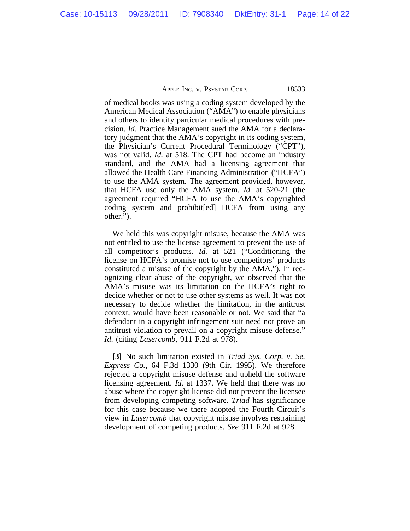of medical books was using a coding system developed by the American Medical Association ("AMA") to enable physicians and others to identify particular medical procedures with precision. *Id.* Practice Management sued the AMA for a declaratory judgment that the AMA's copyright in its coding system, the Physician's Current Procedural Terminology ("CPT"), was not valid. *Id.* at 518. The CPT had become an industry standard, and the AMA had a licensing agreement that allowed the Health Care Financing Administration ("HCFA") to use the AMA system. The agreement provided, however, that HCFA use only the AMA system. *Id.* at 520-21 (the agreement required "HCFA to use the AMA's copyrighted coding system and prohibit[ed] HCFA from using any other.").

We held this was copyright misuse, because the AMA was not entitled to use the license agreement to prevent the use of all competitor's products. *Id.* at 521 ("Conditioning the license on HCFA's promise not to use competitors' products constituted a misuse of the copyright by the AMA."). In recognizing clear abuse of the copyright, we observed that the AMA's misuse was its limitation on the HCFA's right to decide whether or not to use other systems as well. It was not necessary to decide whether the limitation, in the antitrust context, would have been reasonable or not. We said that "a defendant in a copyright infringement suit need not prove an antitrust violation to prevail on a copyright misuse defense." *Id*. (citing *Lasercomb,* 911 F.2d at 978).

**[3]** No such limitation existed in *Triad Sys. Corp. v. Se. Express Co.*, 64 F.3d 1330 (9th Cir. 1995). We therefore rejected a copyright misuse defense and upheld the software licensing agreement. *Id.* at 1337. We held that there was no abuse where the copyright license did not prevent the licensee from developing competing software. *Triad* has significance for this case because we there adopted the Fourth Circuit's view in *Lasercomb* that copyright misuse involves restraining development of competing products. *See* 911 F.2d at 928.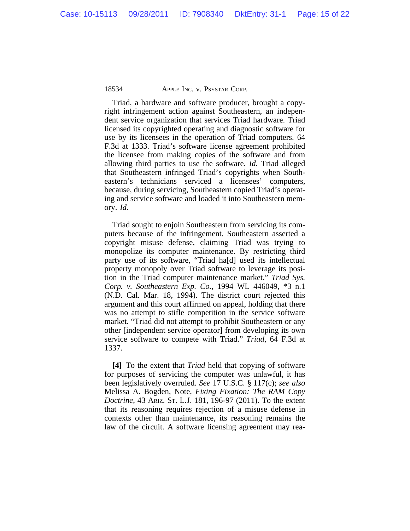Triad, a hardware and software producer, brought a copyright infringement action against Southeastern, an independent service organization that services Triad hardware. Triad licensed its copyrighted operating and diagnostic software for use by its licensees in the operation of Triad computers. 64 F.3d at 1333. Triad's software license agreement prohibited the licensee from making copies of the software and from allowing third parties to use the software. *Id.* Triad alleged that Southeastern infringed Triad's copyrights when Southeastern's technicians serviced a licensees' computers, because, during servicing, Southeastern copied Triad's operating and service software and loaded it into Southeastern memory. *Id.*

Triad sought to enjoin Southeastern from servicing its computers because of the infringement. Southeastern asserted a copyright misuse defense, claiming Triad was trying to monopolize its computer maintenance. By restricting third party use of its software, "Triad ha[d] used its intellectual property monopoly over Triad software to leverage its position in the Triad computer maintenance market." *Triad Sys. Corp. v. Southeastern Exp. Co.*, 1994 WL 446049, \*3 n.1 (N.D. Cal. Mar. 18, 1994). The district court rejected this argument and this court affirmed on appeal, holding that there was no attempt to stifle competition in the service software market. "Triad did not attempt to prohibit Southeastern or any other [independent service operator] from developing its own service software to compete with Triad." *Triad*, 64 F.3d at 1337.

**[4]** To the extent that *Triad* held that copying of software for purposes of servicing the computer was unlawful, it has been legislatively overruled. *See* 17 U.S.C. § 117(c); *see also* Melissa A. Bogden, Note, *Fixing Fixation: The RAM Copy Doctrine*, 43 ARIZ. ST. L.J. 181, 196-97 (2011). To the extent that its reasoning requires rejection of a misuse defense in contexts other than maintenance, its reasoning remains the law of the circuit. A software licensing agreement may rea-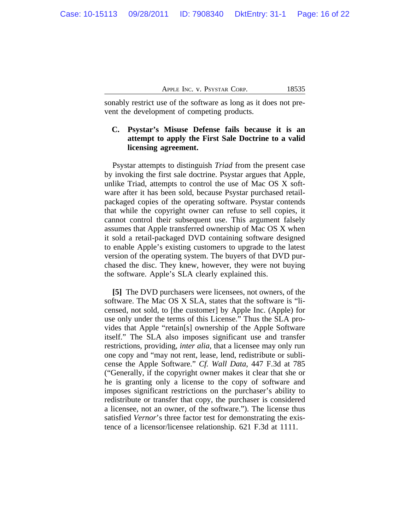sonably restrict use of the software as long as it does not prevent the development of competing products.

## **C. Psystar's Misuse Defense fails because it is an attempt to apply the First Sale Doctrine to a valid licensing agreement.**

Psystar attempts to distinguish *Triad* from the present case by invoking the first sale doctrine. Psystar argues that Apple, unlike Triad, attempts to control the use of Mac OS X software after it has been sold, because Psystar purchased retailpackaged copies of the operating software. Psystar contends that while the copyright owner can refuse to sell copies, it cannot control their subsequent use. This argument falsely assumes that Apple transferred ownership of Mac OS X when it sold a retail-packaged DVD containing software designed to enable Apple's existing customers to upgrade to the latest version of the operating system. The buyers of that DVD purchased the disc. They knew, however, they were not buying the software. Apple's SLA clearly explained this.

**[5]** The DVD purchasers were licensees, not owners, of the software. The Mac OS X SLA, states that the software is "licensed, not sold, to [the customer] by Apple Inc. (Apple) for use only under the terms of this License." Thus the SLA provides that Apple "retain[s] ownership of the Apple Software itself." The SLA also imposes significant use and transfer restrictions, providing, *inter alia*, that a licensee may only run one copy and "may not rent, lease, lend, redistribute or sublicense the Apple Software." *Cf. Wall Data*, 447 F.3d at 785 ("Generally, if the copyright owner makes it clear that she or he is granting only a license to the copy of software and imposes significant restrictions on the purchaser's ability to redistribute or transfer that copy, the purchaser is considered a licensee, not an owner, of the software."). The license thus satisfied *Vernor*'s three factor test for demonstrating the existence of a licensor/licensee relationship. 621 F.3d at 1111.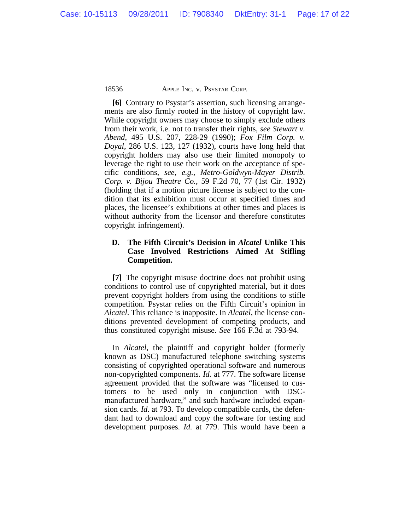**[6]** Contrary to Psystar's assertion, such licensing arrangements are also firmly rooted in the history of copyright law. While copyright owners may choose to simply exclude others from their work, i.e. not to transfer their rights, *see Stewart v. Abend*, 495 U.S. 207, 228-29 (1990); *Fox Film Corp. v. Doyal*, 286 U.S. 123, 127 (1932), courts have long held that copyright holders may also use their limited monopoly to leverage the right to use their work on the acceptance of specific conditions, *see, e.g.*, *Metro-Goldwyn-Mayer Distrib. Corp. v. Bijou Theatre Co.*, 59 F.2d 70, 77 (1st Cir. 1932) (holding that if a motion picture license is subject to the condition that its exhibition must occur at specified times and places, the licensee's exhibitions at other times and places is without authority from the licensor and therefore constitutes copyright infringement).

### **D. The Fifth Circuit's Decision in** *Alcatel* **Unlike This Case Involved Restrictions Aimed At Stifling Competition.**

**[7]** The copyright misuse doctrine does not prohibit using conditions to control use of copyrighted material, but it does prevent copyright holders from using the conditions to stifle competition. Psystar relies on the Fifth Circuit's opinion in *Alcatel*. This reliance is inapposite. In *Alcatel*, the license conditions prevented development of competing products, and thus constituted copyright misuse. *See* 166 F.3d at 793-94.

In *Alcatel*, the plaintiff and copyright holder (formerly known as DSC) manufactured telephone switching systems consisting of copyrighted operational software and numerous non-copyrighted components. *Id.* at 777. The software license agreement provided that the software was "licensed to customers to be used only in conjunction with DSCmanufactured hardware," and such hardware included expansion cards. *Id.* at 793. To develop compatible cards, the defendant had to download and copy the software for testing and development purposes. *Id.* at 779. This would have been a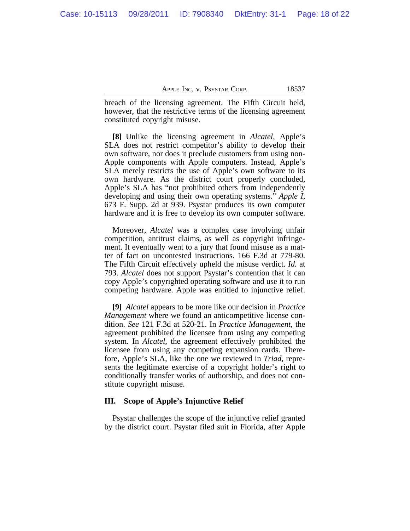breach of the licensing agreement. The Fifth Circuit held, however, that the restrictive terms of the licensing agreement constituted copyright misuse.

**[8]** Unlike the licensing agreement in *Alcatel*, Apple's SLA does not restrict competitor's ability to develop their own software, nor does it preclude customers from using non-Apple components with Apple computers. Instead, Apple's SLA merely restricts the use of Apple's own software to its own hardware. As the district court properly concluded, Apple's SLA has "not prohibited others from independently developing and using their own operating systems." *Apple I*, 673 F. Supp. 2d at 939. Psystar produces its own computer hardware and it is free to develop its own computer software.

Moreover, *Alcatel* was a complex case involving unfair competition, antitrust claims, as well as copyright infringement. It eventually went to a jury that found misuse as a matter of fact on uncontested instructions. 166 F.3d at 779-80. The Fifth Circuit effectively upheld the misuse verdict. *Id.* at 793. *Alcatel* does not support Psystar's contention that it can copy Apple's copyrighted operating software and use it to run competing hardware. Apple was entitled to injunctive relief.

**[9]** *Alcatel* appears to be more like our decision in *Practice Management* where we found an anticompetitive license condition. *See* 121 F.3d at 520-21. In *Practice Management*, the agreement prohibited the licensee from using any competing system. In *Alcatel*, the agreement effectively prohibited the licensee from using any competing expansion cards. Therefore, Apple's SLA, like the one we reviewed in *Triad*, represents the legitimate exercise of a copyright holder's right to conditionally transfer works of authorship, and does not constitute copyright misuse.

#### **III. Scope of Apple's Injunctive Relief**

Psystar challenges the scope of the injunctive relief granted by the district court. Psystar filed suit in Florida, after Apple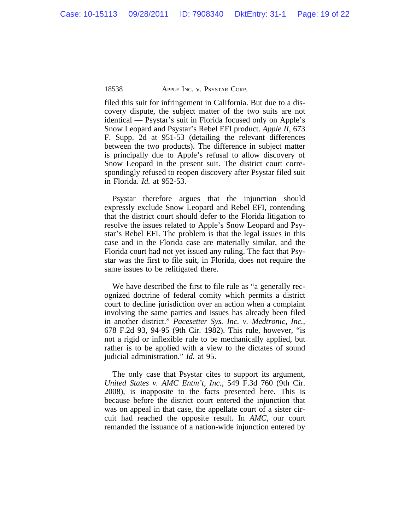filed this suit for infringement in California. But due to a discovery dispute, the subject matter of the two suits are not identical — Psystar's suit in Florida focused only on Apple's Snow Leopard and Psystar's Rebel EFI product. *Apple II*, 673 F. Supp. 2d at 951-53 (detailing the relevant differences between the two products). The difference in subject matter is principally due to Apple's refusal to allow discovery of Snow Leopard in the present suit. The district court correspondingly refused to reopen discovery after Psystar filed suit in Florida. *Id.* at 952-53.

Psystar therefore argues that the injunction should expressly exclude Snow Leopard and Rebel EFI, contending that the district court should defer to the Florida litigation to resolve the issues related to Apple's Snow Leopard and Psystar's Rebel EFI. The problem is that the legal issues in this case and in the Florida case are materially similar, and the Florida court had not yet issued any ruling. The fact that Psystar was the first to file suit, in Florida, does not require the same issues to be relitigated there.

We have described the first to file rule as "a generally recognized doctrine of federal comity which permits a district court to decline jurisdiction over an action when a complaint involving the same parties and issues has already been filed in another district." *Pacesetter Sys. Inc. v. Medtronic, Inc.*, 678 F.2d 93, 94-95 (9th Cir. 1982). This rule, however, "is not a rigid or inflexible rule to be mechanically applied, but rather is to be applied with a view to the dictates of sound judicial administration." *Id.* at 95.

The only case that Psystar cites to support its argument, *United States v. AMC Entm't, Inc.*, 549 F.3d 760 (9th Cir. 2008), is inapposite to the facts presented here. This is because before the district court entered the injunction that was on appeal in that case, the appellate court of a sister circuit had reached the opposite result. In *AMC*, our court remanded the issuance of a nation-wide injunction entered by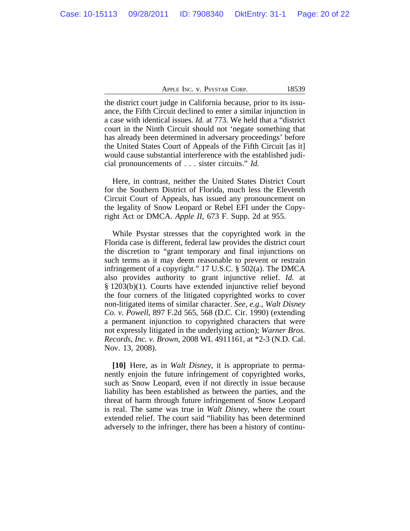the district court judge in California because, prior to its issuance, the Fifth Circuit declined to enter a similar injunction in a case with identical issues. *Id.* at 773. We held that a "district court in the Ninth Circuit should not 'negate something that has already been determined in adversary proceedings' before the United States Court of Appeals of the Fifth Circuit [as it] would cause substantial interference with the established judicial pronouncements of . . . sister circuits." *Id.*

Here, in contrast, neither the United States District Court for the Southern District of Florida, much less the Eleventh Circuit Court of Appeals, has issued any pronouncement on the legality of Snow Leopard or Rebel EFI under the Copyright Act or DMCA. *Apple II*, 673 F. Supp. 2d at 955.

While Psystar stresses that the copyrighted work in the Florida case is different, federal law provides the district court the discretion to "grant temporary and final injunctions on such terms as it may deem reasonable to prevent or restrain infringement of a copyright." 17 U.S.C. § 502(a). The DMCA also provides authority to grant injunctive relief. *Id.* at § 1203(b)(1). Courts have extended injunctive relief beyond the four corners of the litigated copyrighted works to cover non-litigated items of similar character. *See, e.g.*, *Walt Disney Co. v. Powell*, 897 F.2d 565, 568 (D.C. Cir. 1990) (extending a permanent injunction to copyrighted characters that were not expressly litigated in the underlying action); *Warner Bros. Records, Inc. v. Brown*, 2008 WL 4911161, at \*2-3 (N.D. Cal. Nov. 13, 2008).

**[10]** Here, as in *Walt Disney*, it is appropriate to permanently enjoin the future infringement of copyrighted works, such as Snow Leopard, even if not directly in issue because liability has been established as between the parties, and the threat of harm through future infringement of Snow Leopard is real. The same was true in *Walt Disney*, where the court extended relief. The court said "liability has been determined adversely to the infringer, there has been a history of continu-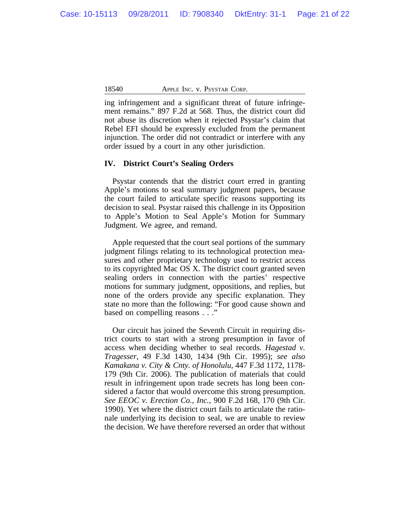ing infringement and a significant threat of future infringement remains." 897 F.2d at 568. Thus, the district court did not abuse its discretion when it rejected Psystar's claim that Rebel EFI should be expressly excluded from the permanent injunction. The order did not contradict or interfere with any order issued by a court in any other jurisdiction.

#### **IV. District Court's Sealing Orders**

Psystar contends that the district court erred in granting Apple's motions to seal summary judgment papers, because the court failed to articulate specific reasons supporting its decision to seal. Psystar raised this challenge in its Opposition to Apple's Motion to Seal Apple's Motion for Summary Judgment. We agree, and remand.

Apple requested that the court seal portions of the summary judgment filings relating to its technological protection measures and other proprietary technology used to restrict access to its copyrighted Mac OS X. The district court granted seven sealing orders in connection with the parties' respective motions for summary judgment, oppositions, and replies, but none of the orders provide any specific explanation. They state no more than the following: "For good cause shown and based on compelling reasons . . ."

Our circuit has joined the Seventh Circuit in requiring district courts to start with a strong presumption in favor of access when deciding whether to seal records. *Hagestad v. Tragesser*, 49 F.3d 1430, 1434 (9th Cir. 1995); *see also Kamakana v. City & Cnty. of Honolulu*, 447 F.3d 1172, 1178- 179 (9th Cir. 2006). The publication of materials that could result in infringement upon trade secrets has long been considered a factor that would overcome this strong presumption. *See EEOC v. Erection Co., Inc.*, 900 F.2d 168, 170 (9th Cir. 1990). Yet where the district court fails to articulate the rationale underlying its decision to seal, we are unable to review the decision. We have therefore reversed an order that without